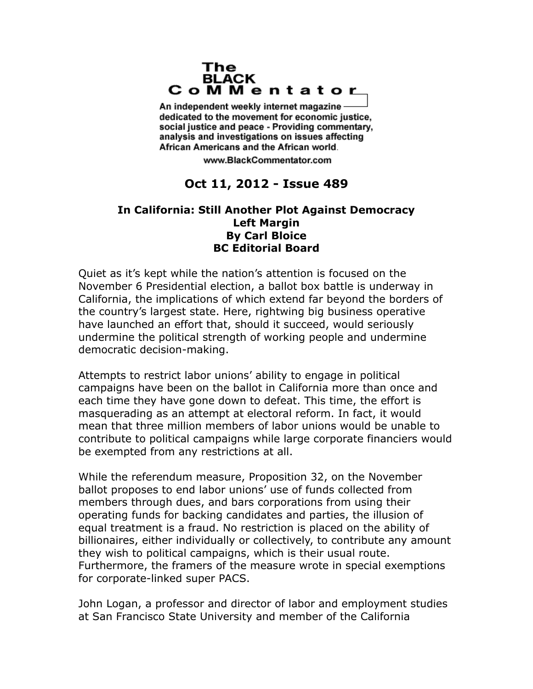## The **BLACK** CoMMentator

An independent weekly internet magazine dedicated to the movement for economic justice. social justice and peace - Providing commentary, analysis and investigations on issues affecting African Americans and the African world.

www.BlackCommentator.com

## **Oct 11, 2012 - Issue 489**

## **In California: Still Another Plot Against Democracy Left Margin By Carl Bloice BC Editorial Board**

Quiet as it's kept while the nation's attention is focused on the November 6 Presidential election, a ballot box battle is underway in California, the implications of which extend far beyond the borders of the country's largest state. Here, rightwing big business operative have launched an effort that, should it succeed, would seriously undermine the political strength of working people and undermine democratic decision-making.

Attempts to restrict labor unions' ability to engage in political campaigns have been on the ballot in California more than once and each time they have gone down to defeat. This time, the effort is masquerading as an attempt at electoral reform. In fact, it would mean that three million members of labor unions would be unable to contribute to political campaigns while large corporate financiers would be exempted from any restrictions at all.

While the referendum measure, Proposition 32, on the November ballot proposes to end labor unions' use of funds collected from members through dues, and bars corporations from using their operating funds for backing candidates and parties, the illusion of equal treatment is a fraud. No restriction is placed on the ability of billionaires, either individually or collectively, to contribute any amount they wish to political campaigns, which is their usual route. Furthermore, the framers of the measure wrote in special exemptions for corporate-linked super PACS.

John Logan, a professor and director of labor and employment studies at San Francisco State University and member of the California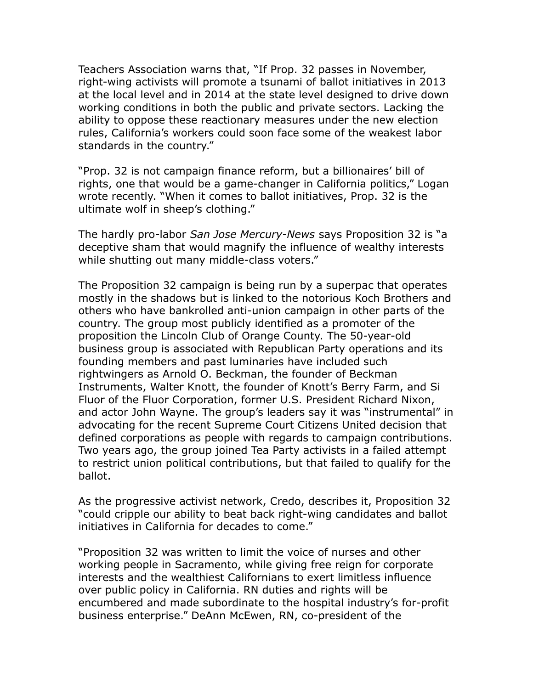Teachers Association warns that, "If Prop. 32 passes in November, right-wing activists will promote a tsunami of ballot initiatives in 2013 at the local level and in 2014 at the state level designed to drive down working conditions in both the public and private sectors. Lacking the ability to oppose these reactionary measures under the new election rules, California's workers could soon face some of the weakest labor standards in the country."

"Prop. 32 is not campaign finance reform, but a billionaires' bill of rights, one that would be a game-changer in California politics," Logan wrote recently. "When it comes to ballot initiatives, Prop. 32 is the ultimate wolf in sheep's clothing."

The hardly pro-labor *San Jose Mercury-News* says Proposition 32 is "a deceptive sham that would magnify the influence of wealthy interests while shutting out many middle-class voters."

The Proposition 32 campaign is being run by a superpac that operates mostly in the shadows but is linked to the notorious Koch Brothers and others who have bankrolled anti-union campaign in other parts of the country. The group most publicly identified as a promoter of the proposition the Lincoln Club of Orange County. The 50-year-old business group is associated with Republican Party operations and its founding members and past luminaries have included such rightwingers as Arnold O. Beckman, the founder of Beckman Instruments, Walter Knott, the founder of Knott's Berry Farm, and Si Fluor of the Fluor Corporation, former U.S. President Richard Nixon, and actor John Wayne. The group's leaders say it was "instrumental" in advocating for the recent Supreme Court Citizens United decision that defined corporations as people with regards to campaign contributions. Two years ago, the group joined Tea Party activists in a failed attempt to restrict union political contributions, but that failed to qualify for the ballot.

As the progressive activist network, Credo, describes it, Proposition 32 "could cripple our ability to beat back right-wing candidates and ballot initiatives in California for decades to come."

"Proposition 32 was written to limit the voice of nurses and other working people in Sacramento, while giving free reign for corporate interests and the wealthiest Californians to exert limitless influence over public policy in California. RN duties and rights will be encumbered and made subordinate to the hospital industry's for-profit business enterprise." DeAnn McEwen, RN, co-president of the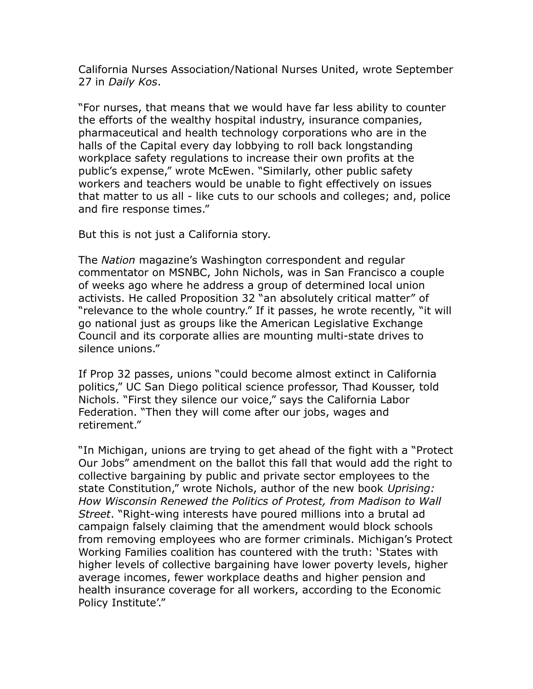California Nurses Association/National Nurses United, wrote September 27 in *Daily Kos*.

"For nurses, that means that we would have far less ability to counter the efforts of the wealthy hospital industry, insurance companies, pharmaceutical and health technology corporations who are in the halls of the Capital every day lobbying to roll back longstanding workplace safety regulations to increase their own profits at the public's expense," wrote McEwen. "Similarly, other public safety workers and teachers would be unable to fight effectively on issues that matter to us all - like cuts to our schools and colleges; and, police and fire response times."

But this is not just a California story.

The *Nation* magazine's Washington correspondent and regular commentator on MSNBC, John Nichols, was in San Francisco a couple of weeks ago where he address a group of determined local union activists. He called Proposition 32 "an absolutely critical matter" of "relevance to the whole country." If it passes, he wrote recently, "it will go national just as groups like the American Legislative Exchange Council and its corporate allies are mounting multi-state drives to silence unions."

If Prop 32 passes, unions "could become almost extinct in California politics," UC San Diego political science professor, Thad Kousser, told Nichols. "First they silence our voice," says the California Labor Federation. "Then they will come after our jobs, wages and retirement."

"In Michigan, unions are trying to get ahead of the fight with a "Protect Our Jobs" amendment on the ballot this fall that would add the right to collective bargaining by public and private sector employees to the state Constitution," wrote Nichols, author of the new book *Uprising: How Wisconsin Renewed the Politics of Protest, from Madison to Wall Street*. "Right-wing interests have poured millions into a brutal ad campaign falsely claiming that the amendment would block schools from removing employees who are former criminals. Michigan's Protect Working Families coalition has countered with the truth: 'States with higher levels of collective bargaining have lower poverty levels, higher average incomes, fewer workplace deaths and higher pension and health insurance coverage for all workers, according to the Economic Policy Institute'."